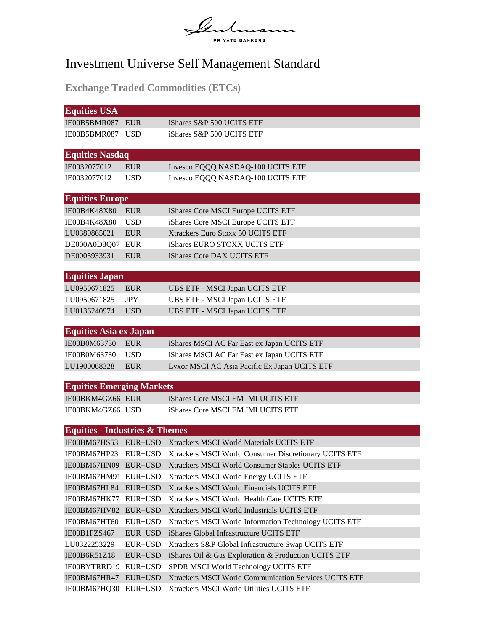

**Exchange Traded Commodities (ETCs)**

| <b>Equities USA</b>                       |            |                                                                      |  |  |  |
|-------------------------------------------|------------|----------------------------------------------------------------------|--|--|--|
| IE00B5BMR087                              | <b>EUR</b> | iShares S&P 500 UCITS ETF                                            |  |  |  |
| IE00B5BMR087                              | <b>USD</b> | iShares S&P 500 UCITS ETF                                            |  |  |  |
| <b>Equities Nasdaq</b>                    |            |                                                                      |  |  |  |
| IE0032077012                              | <b>EUR</b> | Invesco EQQQ NASDAQ-100 UCITS ETF                                    |  |  |  |
| IE0032077012                              | <b>USD</b> | Invesco EQQQ NASDAQ-100 UCITS ETF                                    |  |  |  |
| <b>Equities Europe</b>                    |            |                                                                      |  |  |  |
| IE00B4K48X80                              | <b>EUR</b> | iShares Core MSCI Europe UCITS ETF                                   |  |  |  |
| IE00B4K48X80                              | <b>USD</b> | iShares Core MSCI Europe UCITS ETF                                   |  |  |  |
| LU0380865021                              | <b>EUR</b> | Xtrackers Euro Stoxx 50 UCITS ETF                                    |  |  |  |
| DE000A0D8Q07                              | <b>EUR</b> | iShares EURO STOXX UCITS ETF                                         |  |  |  |
| DE0005933931                              | <b>EUR</b> | iShares Core DAX UCITS ETF                                           |  |  |  |
| <b>Equities Japan</b>                     |            |                                                                      |  |  |  |
| LU0950671825                              | <b>EUR</b> | UBS ETF - MSCI Japan UCITS ETF                                       |  |  |  |
| LU0950671825                              | <b>JPY</b> | <b>UBS ETF - MSCI Japan UCITS ETF</b>                                |  |  |  |
| LU0136240974                              | <b>USD</b> | UBS ETF - MSCI Japan UCITS ETF                                       |  |  |  |
| <b>Equities Asia ex Japan</b>             |            |                                                                      |  |  |  |
| IE00B0M63730                              | <b>EUR</b> | iShares MSCI AC Far East ex Japan UCITS ETF                          |  |  |  |
| IE00B0M63730                              | <b>USD</b> | iShares MSCI AC Far East ex Japan UCITS ETF                          |  |  |  |
| LU1900068328                              | <b>EUR</b> | Lyxor MSCI AC Asia Pacific Ex Japan UCITS ETF                        |  |  |  |
| <b>Equities Emerging Markets</b>          |            |                                                                      |  |  |  |
| IE00BKM4GZ66 EUR                          |            | iShares Core MSCI EM IMI UCITS ETF                                   |  |  |  |
| IE00BKM4GZ66 USD                          |            | iShares Core MSCI EM IMI UCITS ETF                                   |  |  |  |
|                                           |            |                                                                      |  |  |  |
| <b>Equities - Industries &amp; Themes</b> |            |                                                                      |  |  |  |
| IE00BM67HS53                              | EUR+USD    | Xtrackers MSCI World Materials UCITS ETF                             |  |  |  |
| IE00BM67HP23                              | EUR+USD    | Xtrackers MSCI World Consumer Discretionary UCITS ETF                |  |  |  |
|                                           |            | IE00BM67HN09 EUR+USD Xtrackers MSCI World Consumer Staples UCITS ETF |  |  |  |
| IE00BM67HM91 EUR+USD                      |            | Xtrackers MSCI World Energy UCITS ETF                                |  |  |  |
| IE00BM67HL84                              | EUR+USD    | Xtrackers MSCI World Financials UCITS ETF                            |  |  |  |
| IE00BM67HK77                              | EUR+USD    | Xtrackers MSCI World Health Care UCITS ETF                           |  |  |  |
| IE00BM67HV82                              | EUR+USD    | Xtrackers MSCI World Industrials UCITS ETF                           |  |  |  |
| IE00BM67HT60                              | EUR+USD    | Xtrackers MSCI World Information Technology UCITS ETF                |  |  |  |
| IE00B1FZS467                              | EUR+USD    | iShares Global Infrastructure UCITS ETF                              |  |  |  |
| LU0322253229                              | EUR+USD    | Xtrackers S&P Global Infrastructure Swap UCITS ETF                   |  |  |  |
| IE00B6R51Z18                              | EUR+USD    | iShares Oil & Gas Exploration & Production UCITS ETF                 |  |  |  |
| IE00BYTRRD19                              | EUR+USD    | SPDR MSCI World Technology UCITS ETF                                 |  |  |  |
| IE00BM67HR47                              | EUR+USD    | Xtrackers MSCI World Communication Services UCITS ETF                |  |  |  |
| IE00BM67HQ30                              | EUR+USD    | Xtrackers MSCI World Utilities UCITS ETF                             |  |  |  |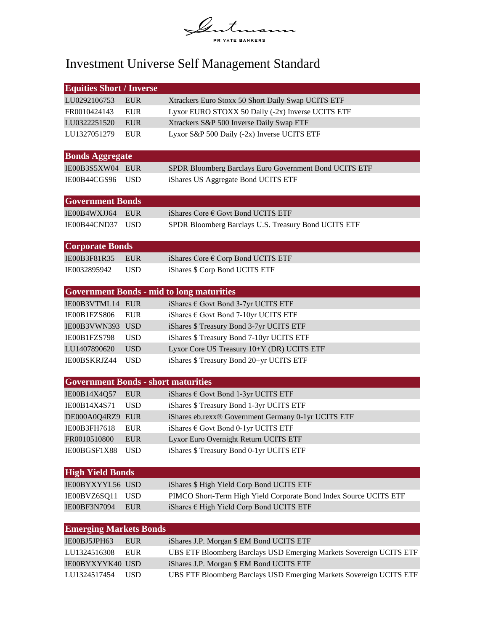# Gutnam

## Investment Universe Self Management Standard

| <b>Equities Short / Inverse</b>             |             |                                                                     |  |  |  |  |
|---------------------------------------------|-------------|---------------------------------------------------------------------|--|--|--|--|
| LU0292106753                                | <b>EUR</b>  | Xtrackers Euro Stoxx 50 Short Daily Swap UCITS ETF                  |  |  |  |  |
| FR0010424143                                | <b>EUR</b>  | Lyxor EURO STOXX 50 Daily (-2x) Inverse UCITS ETF                   |  |  |  |  |
| LU0322251520                                | <b>EUR</b>  | Xtrackers S&P 500 Inverse Daily Swap ETF                            |  |  |  |  |
| LU1327051279                                | <b>EUR</b>  | Lyxor S&P 500 Daily (-2x) Inverse UCITS ETF                         |  |  |  |  |
|                                             |             |                                                                     |  |  |  |  |
| <b>Bonds Aggregate</b>                      |             |                                                                     |  |  |  |  |
| IE00B3S5XW04                                | EUR         | SPDR Bloomberg Barclays Euro Government Bond UCITS ETF              |  |  |  |  |
| IE00B44CGS96                                | <b>USD</b>  | iShares US Aggregate Bond UCITS ETF                                 |  |  |  |  |
| <b>Government Bonds</b>                     |             |                                                                     |  |  |  |  |
| IE00B4WXJJ64                                | <b>EUR</b>  | iShares Core € Govt Bond UCITS ETF                                  |  |  |  |  |
| IE00B44CND37                                | <b>USD</b>  | SPDR Bloomberg Barclays U.S. Treasury Bond UCITS ETF                |  |  |  |  |
|                                             |             |                                                                     |  |  |  |  |
| <b>Corporate Bonds</b>                      |             |                                                                     |  |  |  |  |
| IE00B3F81R35                                | <b>EUR</b>  | iShares Core $\epsilon$ Corp Bond UCITS ETF                         |  |  |  |  |
| IE0032895942                                | <b>USD</b>  | iShares \$ Corp Bond UCITS ETF                                      |  |  |  |  |
|                                             |             | <b>Government Bonds - mid to long maturities</b>                    |  |  |  |  |
| IE00B3VTML14 EUR                            |             | iShares € Govt Bond 3-7yr UCITS ETF                                 |  |  |  |  |
| IE00B1FZS806                                | <b>EUR</b>  | iShares $\epsilon$ Govt Bond 7-10yr UCITS ETF                       |  |  |  |  |
| IE00B3VWN393 USD                            |             | iShares \$ Treasury Bond 3-7yr UCITS ETF                            |  |  |  |  |
| IE00B1FZS798                                | <b>USD</b>  | iShares \$ Treasury Bond 7-10yr UCITS ETF                           |  |  |  |  |
| LU1407890620                                | <b>USD</b>  | Lyxor Core US Treasury 10+Y (DR) UCITS ETF                          |  |  |  |  |
| IE00BSKRJZ44                                | <b>USD</b>  | iShares \$ Treasury Bond 20+yr UCITS ETF                            |  |  |  |  |
| <b>Government Bonds - short maturities</b>  |             |                                                                     |  |  |  |  |
| IE00B14X4Q57                                | <b>EUR</b>  | iShares € Govt Bond 1-3yr UCITS ETF                                 |  |  |  |  |
| IE00B14X4S71                                | <b>USD</b>  | iShares \$ Treasury Bond 1-3yr UCITS ETF                            |  |  |  |  |
| DE000A0Q4RZ9                                | <b>EUR</b>  | iShares eb.rexx® Government Germany 0-1yr UCITS ETF                 |  |  |  |  |
| IE00B3FH7618                                | <b>EUR</b>  | iShares € Govt Bond 0-1yr UCITS ETF                                 |  |  |  |  |
| FR0010510800                                | ${\rm EUR}$ | Lyxor Euro Overnight Return UCITS ETF                               |  |  |  |  |
| IE00BGSF1X88                                | <b>USD</b>  | iShares \$ Treasury Bond 0-1yr UCITS ETF                            |  |  |  |  |
|                                             |             |                                                                     |  |  |  |  |
| <b>High Yield Bonds</b><br>IE00BYXYYL56 USD |             | iShares \$ High Yield Corp Bond UCITS ETF                           |  |  |  |  |
| IE00BVZ6SQ11                                | <b>USD</b>  | PIMCO Short-Term High Yield Corporate Bond Index Source UCITS ETF   |  |  |  |  |
| IE00BF3N7094                                | <b>EUR</b>  | iShares € High Yield Corp Bond UCITS ETF                            |  |  |  |  |
|                                             |             |                                                                     |  |  |  |  |
| <b>Emerging Markets Bonds</b>               |             |                                                                     |  |  |  |  |
| IE00BJ5JPH63                                | <b>EUR</b>  | iShares J.P. Morgan \$ EM Bond UCITS ETF                            |  |  |  |  |
| LU1324516308                                | <b>EUR</b>  | UBS ETF Bloomberg Barclays USD Emerging Markets Sovereign UCITS ETF |  |  |  |  |
| IE00BYXYYK40 USD                            |             | iShares J.P. Morgan \$ EM Bond UCITS ETF                            |  |  |  |  |
| LU1324517454                                | <b>USD</b>  | UBS ETF Bloomberg Barclays USD Emerging Markets Sovereign UCITS ETF |  |  |  |  |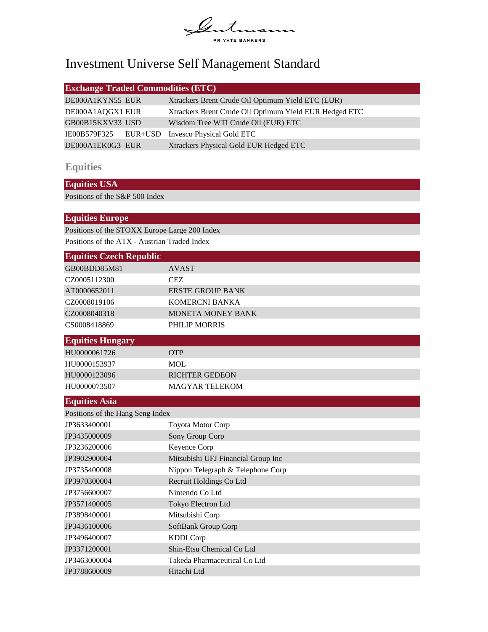

JP3463000004 Takeda Pharmaceutical Co Ltd

JP3788600009 Hitachi Ltd

| <b>Exchange Traded Commodities (ETC)</b>      |         |                                                        |  |  |  |  |
|-----------------------------------------------|---------|--------------------------------------------------------|--|--|--|--|
| DE000A1KYN55 EUR                              |         | Xtrackers Brent Crude Oil Optimum Yield ETC (EUR)      |  |  |  |  |
| DE000A1AQGX1 EUR                              |         | Xtrackers Brent Crude Oil Optimum Yield EUR Hedged ETC |  |  |  |  |
| GB00B15KXV33 USD                              |         | Wisdom Tree WTI Crude Oil (EUR) ETC                    |  |  |  |  |
| IE00B579F325                                  | EUR+USD | <b>Invesco Physical Gold ETC</b>                       |  |  |  |  |
| DE000A1EK0G3 EUR                              |         | Xtrackers Physical Gold EUR Hedged ETC                 |  |  |  |  |
| <b>Equities</b>                               |         |                                                        |  |  |  |  |
| <b>Equities USA</b>                           |         |                                                        |  |  |  |  |
| Positions of the S&P 500 Index                |         |                                                        |  |  |  |  |
|                                               |         |                                                        |  |  |  |  |
| <b>Equities Europe</b>                        |         |                                                        |  |  |  |  |
| Positions of the STOXX Europe Large 200 Index |         |                                                        |  |  |  |  |
| Positions of the ATX - Austrian Traded Index  |         |                                                        |  |  |  |  |
| <b>Equities Czech Republic</b>                |         |                                                        |  |  |  |  |
| GB00BDD85M81                                  |         | <b>AVAST</b>                                           |  |  |  |  |
| CZ0005112300                                  |         | <b>CEZ</b>                                             |  |  |  |  |
| AT0000652011                                  |         | <b>ERSTE GROUP BANK</b>                                |  |  |  |  |
| CZ0008019106                                  |         | KOMERCNI BANKA                                         |  |  |  |  |
| CZ0008040318                                  |         | <b>MONETA MONEY BANK</b>                               |  |  |  |  |
| CS0008418869                                  |         | PHILIP MORRIS                                          |  |  |  |  |
| <b>Equities Hungary</b>                       |         |                                                        |  |  |  |  |
| HU0000061726                                  |         | <b>OTP</b>                                             |  |  |  |  |
| HU0000153937                                  |         | <b>MOL</b>                                             |  |  |  |  |
| HU0000123096                                  |         | <b>RICHTER GEDEON</b>                                  |  |  |  |  |
| HU0000073507                                  |         | <b>MAGYAR TELEKOM</b>                                  |  |  |  |  |
| <b>Equities Asia</b>                          |         |                                                        |  |  |  |  |
| Positions of the Hang Seng Index              |         |                                                        |  |  |  |  |
| JP3633400001                                  |         | Toyota Motor Corp                                      |  |  |  |  |
| JP3435000009                                  |         | Sony Group Corp                                        |  |  |  |  |
| JP3236200006                                  |         | Keyence Corp                                           |  |  |  |  |
| JP3902900004                                  |         | Mitsubishi UFJ Financial Group Inc                     |  |  |  |  |
| JP3735400008                                  |         | Nippon Telegraph & Telephone Corp                      |  |  |  |  |
| JP3970300004                                  |         | Recruit Holdings Co Ltd                                |  |  |  |  |
| JP3756600007                                  |         | Nintendo Co Ltd                                        |  |  |  |  |
| JP3571400005                                  |         | Tokyo Electron Ltd                                     |  |  |  |  |
| JP3898400001                                  |         | Mitsubishi Corp                                        |  |  |  |  |
| JP3436100006                                  |         | SoftBank Group Corp                                    |  |  |  |  |
| JP3496400007                                  |         | <b>KDDI</b> Corp                                       |  |  |  |  |
| JP3371200001                                  |         | Shin-Etsu Chemical Co Ltd                              |  |  |  |  |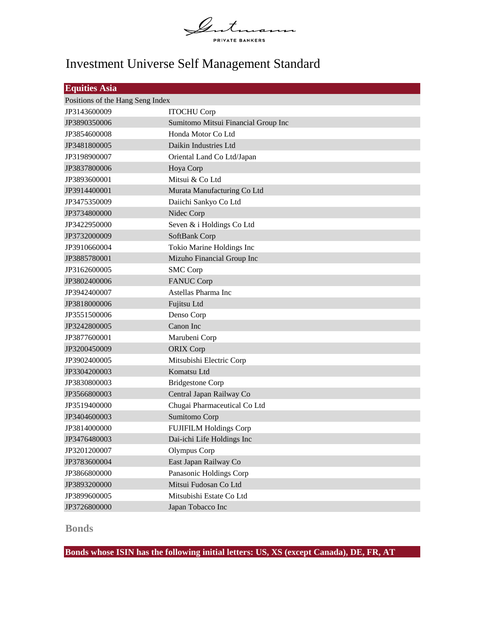Gutniann

| <b>Equities Asia</b>             |                                     |  |  |  |
|----------------------------------|-------------------------------------|--|--|--|
| Positions of the Hang Seng Index |                                     |  |  |  |
| JP3143600009                     | <b>ITOCHU Corp</b>                  |  |  |  |
| JP3890350006                     | Sumitomo Mitsui Financial Group Inc |  |  |  |
| JP3854600008                     | Honda Motor Co Ltd                  |  |  |  |
| JP3481800005                     | Daikin Industries Ltd               |  |  |  |
| JP3198900007                     | Oriental Land Co Ltd/Japan          |  |  |  |
| JP3837800006                     | Hoya Corp                           |  |  |  |
| JP3893600001                     | Mitsui & Co Ltd                     |  |  |  |
| JP3914400001                     | Murata Manufacturing Co Ltd         |  |  |  |
| JP3475350009                     | Daiichi Sankyo Co Ltd               |  |  |  |
| JP3734800000                     | Nidec Corp                          |  |  |  |
| JP3422950000                     | Seven & i Holdings Co Ltd           |  |  |  |
| JP3732000009                     | SoftBank Corp                       |  |  |  |
| JP3910660004                     | Tokio Marine Holdings Inc           |  |  |  |
| JP3885780001                     | Mizuho Financial Group Inc          |  |  |  |
| JP3162600005                     | <b>SMC Corp</b>                     |  |  |  |
| JP3802400006                     | <b>FANUC Corp</b>                   |  |  |  |
| JP3942400007                     | Astellas Pharma Inc                 |  |  |  |
| JP3818000006                     | Fujitsu Ltd                         |  |  |  |
| JP3551500006                     | Denso Corp                          |  |  |  |
| JP3242800005                     | Canon Inc                           |  |  |  |
| JP3877600001                     | Marubeni Corp                       |  |  |  |
| JP3200450009                     | <b>ORIX Corp</b>                    |  |  |  |
| JP3902400005                     | Mitsubishi Electric Corp            |  |  |  |
| JP3304200003                     | Komatsu Ltd                         |  |  |  |
| JP3830800003                     | <b>Bridgestone Corp</b>             |  |  |  |
| JP3566800003                     | Central Japan Railway Co            |  |  |  |
| JP3519400000                     | Chugai Pharmaceutical Co Ltd        |  |  |  |
| JP3404600003                     | Sumitomo Corp                       |  |  |  |
| JP3814000000                     | <b>FUJIFILM Holdings Corp</b>       |  |  |  |
| JP3476480003                     | Dai-ichi Life Holdings Inc          |  |  |  |
| JP3201200007                     | Olympus Corp                        |  |  |  |
| JP3783600004                     | East Japan Railway Co               |  |  |  |
| JP3866800000                     | Panasonic Holdings Corp             |  |  |  |
| JP3893200000                     | Mitsui Fudosan Co Ltd               |  |  |  |
| JP3899600005                     | Mitsubishi Estate Co Ltd            |  |  |  |
| JP3726800000                     | Japan Tobacco Inc                   |  |  |  |

**Bonds**

**Bonds whose ISIN has the following initial letters: US, XS (except Canada), DE, FR, AT**